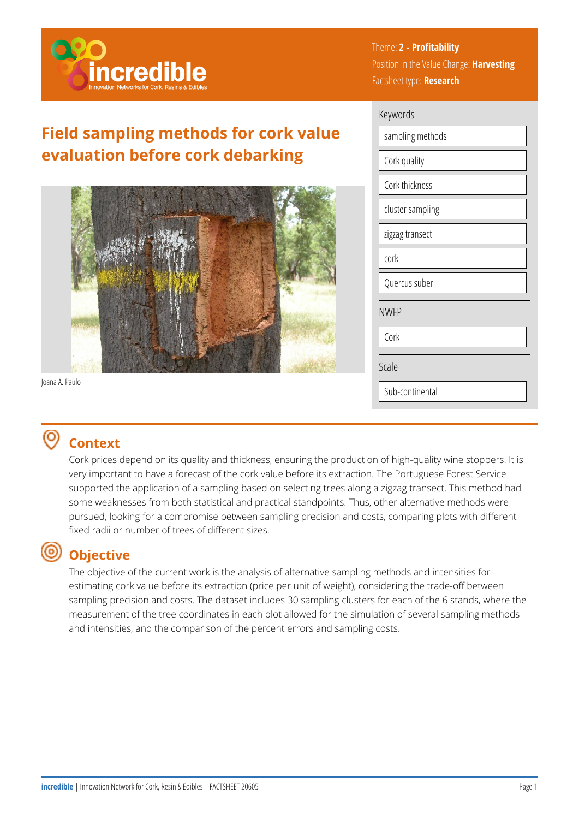

# **Field sampling methods for cork value evaluation before cork debarking**



Joana A. Paulo

# **Context**

Cork prices depend on its quality and thickness, ensuring the production of high-quality wine stoppers. It is very important to have a forecast of the cork value before its extraction. The Portuguese Forest Service supported the application of a sampling based on selecting trees along a zigzag transect. This method had some weaknesses from both statistical and practical standpoints. Thus, other alternative methods were pursued, looking for a compromise between sampling precision and costs, comparing plots with different fixed radii or number of trees of different sizes.

#### (ම) **Objective**

The objective of the current work is the analysis of alternative sampling methods and intensities for estimating cork value before its extraction (price per unit of weight), considering the trade-off between sampling precision and costs. The dataset includes 30 sampling clusters for each of the 6 stands, where the measurement of the tree coordinates in each plot allowed for the simulation of several sampling methods and intensities, and the comparison of the percent errors and sampling costs.

Theme: **2 - Profitability**  Position in the Value Change: **Harvesting**  Factsheet type: **Research** 

| Keywords         |  |  |
|------------------|--|--|
| sampling methods |  |  |
| Cork quality     |  |  |
| Cork thickness   |  |  |
| cluster sampling |  |  |
| zigzag transect  |  |  |
| cork             |  |  |
| Quercus suber    |  |  |
| <b>NWFP</b>      |  |  |
| Cork             |  |  |
| Scale            |  |  |
| Sub-continental  |  |  |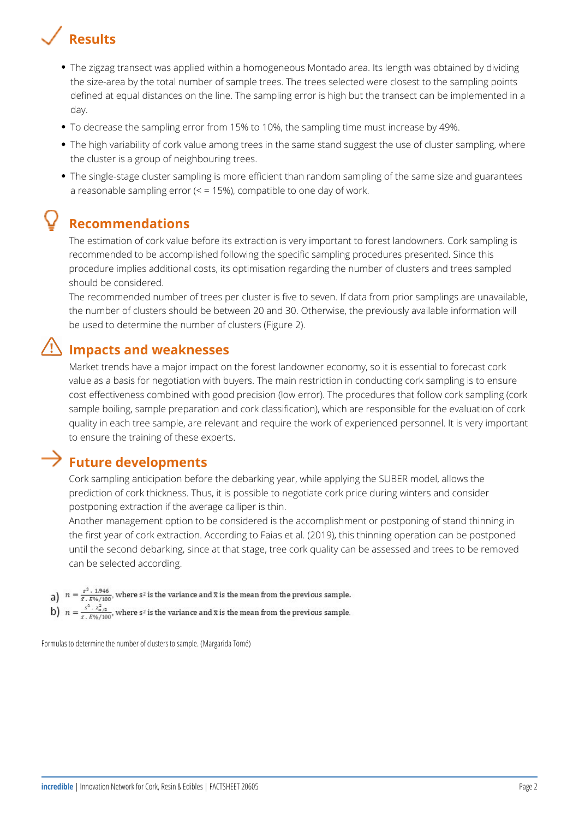

- The zigzag transect was applied within a homogeneous Montado area. Its length was obtained by dividing the size-area by the total number of sample trees. The trees selected were closest to the sampling points defined at equal distances on the line. The sampling error is high but the transect can be implemented in a day.
- To decrease the sampling error from 15% to 10%, the sampling time must increase by 49%.
- The high variability of cork value among trees in the same stand suggest the use of cluster sampling, where the cluster is a group of neighbouring trees.
- The single-stage cluster sampling is more efficient than random sampling of the same size and guarantees a reasonable sampling error  $(5 - 15%)$ , compatible to one day of work.

### **Recommendations**

The estimation of cork value before its extraction is very important to forest landowners. Cork sampling is recommended to be accomplished following the specific sampling procedures presented. Since this procedure implies additional costs, its optimisation regarding the number of clusters and trees sampled should be considered.

The recommended number of trees per cluster is five to seven. If data from prior samplings are unavailable, the number of clusters should be between 20 and 30. Otherwise, the previously available information will be used to determine the number of clusters (Figure 2).

## **Impacts and weaknesses**

Market trends have a major impact on the forest landowner economy, so it is essential to forecast cork value as a basis for negotiation with buyers. The main restriction in conducting cork sampling is to ensure cost effectiveness combined with good precision (low error). The procedures that follow cork sampling (cork sample boiling, sample preparation and cork classification), which are responsible for the evaluation of cork quality in each tree sample, are relevant and require the work of experienced personnel. It is very important to ensure the training of these experts.

#### **Future developments**

Cork sampling anticipation before the debarking year, while applying the SUBER model, allows the prediction of cork thickness. Thus, it is possible to negotiate cork price during winters and consider postponing extraction if the average calliper is thin.

Another management option to be considered is the accomplishment or postponing of stand thinning in the first year of cork extraction. According to Faias et al. (2019), this thinning operation can be postponed until the second debarking, since at that stage, tree cork quality can be assessed and trees to be removed can be selected according.

- a)  $n = \frac{s^2 \cdot 1.946}{\bar{x} \cdot E^{36}/100}$ , where s<sup>2</sup> is the variance and  $\bar{x}$  is the mean from the previous sample.
- b)  $n = \frac{s^2 \cdot z_{\alpha/2}^2}{\bar{x} \cdot E \gamma_0/100}$ , where  $s^2$  is the variance and  $\bar{x}$  is the mean from the previous sample.

Formulas to determine the number of clusters to sample. (Margarida Tomé)